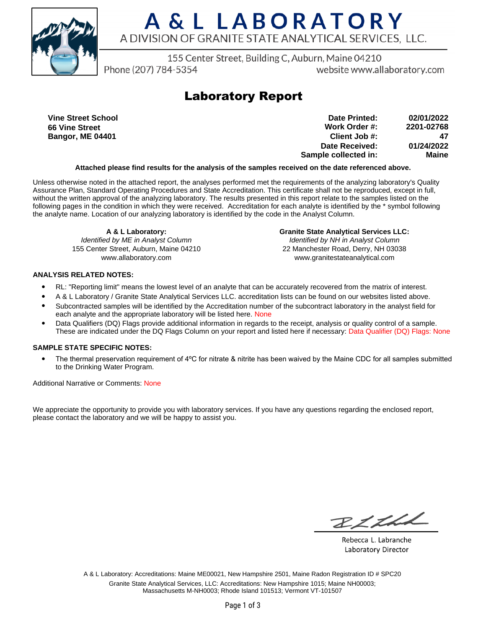

# A & L LABORATORY A DIVISION OF GRANITE STATE ANALYTICAL SERVICES, LLC.

155 Center Street, Building C, Auburn, Maine 04210

Phone (207) 784-5354

website www.allaboratory.com

### **Laboratory Report**

**Vine Street School 66 Vine Street Bangor, ME 04401**

**Work Order #: Client Job #: Date Received: Sample collected in: 2201-02768 47 01/24/2022 Maine Date Printed: 02/01/2022**

#### **Attached please find results for the analysis of the samples received on the date referenced above.**

Unless otherwise noted in the attached report, the analyses performed met the requirements of the analyzing laboratory's Quality Assurance Plan, Standard Operating Procedures and State Accreditation. This certificate shall not be reproduced, except in full, without the written approval of the analyzing laboratory. The results presented in this report relate to the samples listed on the following pages in the condition in which they were received. Accreditation for each analyte is identified by the \* symbol following the analyte name. Location of our analyzing laboratory is identified by the code in the Analyst Column.

**A & L Laboratory:** Identified by ME in Analyst Column 155 Center Street, Auburn, Maine 04210 www.allaboratory.com

**Granite State Analytical Services LLC:** Identified by NH in Analyst Column 22 Manchester Road, Derry, NH 03038 www.granitestateanalytical.com

#### **ANALYSIS RELATED NOTES:**

- RL: "Reporting limit" means the lowest level of an analyte that can be accurately recovered from the matrix of interest.
- A & L Laboratory / Granite State Analytical Services LLC. accreditation lists can be found on our websites listed above.
- Subcontracted samples will be identified by the Accreditation number of the subcontract laboratory in the analyst field for each analyte and the appropriate laboratory will be listed here. None
- Data Qualifiers (DQ) Flags provide additional information in regards to the receipt, analysis or quality control of a sample. These are indicated under the DQ Flags Column on your report and listed here if necessary: Data Qualifier (DQ) Flags: None

#### **SAMPLE STATE SPECIFIC NOTES:**

• The thermal preservation requirement of 4°C for nitrate & nitrite has been waived by the Maine CDC for all samples submitted to the Drinking Water Program.

Additional Narrative or Comments: None

We appreciate the opportunity to provide you with laboratory services. If you have any questions regarding the enclosed report, please contact the laboratory and we will be happy to assist you.

RICHL

Rebecca L. Labranche Laboratory Director

A & L Laboratory: Accreditations: Maine ME00021, New Hampshire 2501, Maine Radon Registration ID # SPC20 Granite State Analytical Services, LLC: Accreditations: New Hampshire 1015; Maine NH00003; Massachusetts M-NH0003; Rhode Island 101513; Vermont VT-101507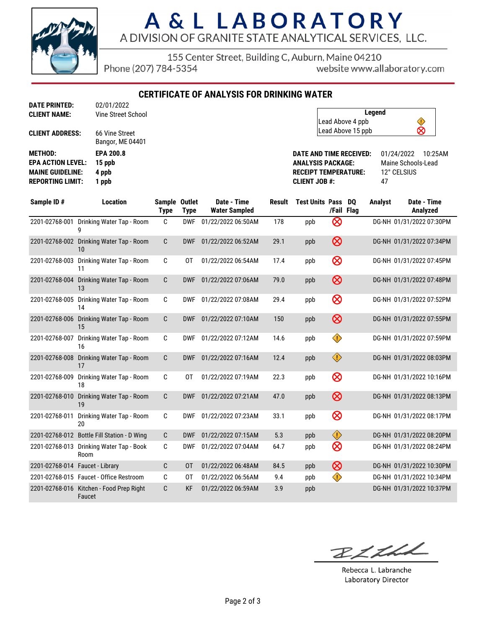

# A & L LABORATORY A DIVISION OF GRANITE STATE ANALYTICAL SERVICES, LLC.

155 Center Street, Building C, Auburn, Maine 04210

Phone (207) 784-5354

website www.allaboratory.com

**CERTIFICATE OF ANALYSIS FOR DRINKING WATER**

| <b>CLIENT NAME:</b>      | Vine Street School                 |
|--------------------------|------------------------------------|
| <b>CLIENT ADDRESS:</b>   | 66 Vine Street<br>Bangor, ME 04401 |
| <b>METHOD:</b>           | <b>EPA 200.8</b>                   |
| <b>EPA ACTION LEVEL:</b> | 15 ppb                             |
| <b>MAINE GUIDELINE:</b>  | 4 ppb                              |
| <b>REPORTING LIMIT:</b>  | 1 ppb                              |
|                          |                                    |

**DATE PRINTED:** 02/01/2022

| Legend            |   |
|-------------------|---|
| Lead Above 4 ppb  |   |
| Lead Above 15 ppb | ∞ |

**DATE AND TIME RECEIVED:** 01/24/2022 10:25AM **ANALYSIS PACKAGE:** Maine Schools-Lead **RECEIPT TEMPERATURE:** 12° CELSIUS **CLIENT JOB #:** 47

| Sample ID#                         | <b>Location</b>                                    | Sample Outlet<br><b>Type</b> | <b>Type</b> | Date - Time<br><b>Water Sampled</b> | Result | <b>Test Units Pass</b> | /Fail Flag | DO | <b>Analyst</b> | Date - Time<br>Analyzed  |
|------------------------------------|----------------------------------------------------|------------------------------|-------------|-------------------------------------|--------|------------------------|------------|----|----------------|--------------------------|
| 2201-02768-001                     | Drinking Water Tap - Room<br>g                     | C                            | <b>DWF</b>  | 01/22/2022 06:50AM                  | 178    | ppb                    | ⊗          |    |                | DG-NH 01/31/2022 07:30PM |
|                                    | 2201-02768-002 Drinking Water Tap - Room<br>10     | C                            | <b>DWF</b>  | 01/22/2022 06:52AM                  | 29.1   | ppb                    | $\otimes$  |    |                | DG-NH 01/31/2022 07:34PM |
| 2201-02768-003                     | Drinking Water Tap - Room<br>11                    | C                            | 0T          | 01/22/2022 06:54AM                  | 17.4   | ppb                    | $\otimes$  |    |                | DG-NH 01/31/2022 07:45PM |
| 2201-02768-004                     | Drinking Water Tap - Room<br>13                    | C                            | <b>DWF</b>  | 01/22/2022 07:06AM                  | 79.0   | ppb                    | $\otimes$  |    |                | DG-NH 01/31/2022 07:48PM |
| 2201-02768-005                     | Drinking Water Tap - Room<br>14                    | C                            | <b>DWF</b>  | 01/22/2022 07:08AM                  | 29.4   | ppb                    | $\otimes$  |    |                | DG-NH 01/31/2022 07:52PM |
| 2201-02768-006                     | Drinking Water Tap - Room<br>15                    | $\mathsf{C}$                 | <b>DWF</b>  | 01/22/2022 07:10AM                  | 150    | ppb                    | $\otimes$  |    |                | DG-NH 01/31/2022 07:55PM |
| 2201-02768-007                     | Drinking Water Tap - Room<br>16                    | C                            | <b>DWF</b>  | 01/22/2022 07:12AM                  | 14.6   | ppb                    | ♦          |    |                | DG-NH 01/31/2022 07:59PM |
| 2201-02768-008                     | Drinking Water Tap - Room<br>17                    | C                            | <b>DWF</b>  | 01/22/2022 07:16AM                  | 12.4   | ppb                    | $\bigcirc$ |    |                | DG-NH 01/31/2022 08:03PM |
| 2201-02768-009                     | Drinking Water Tap - Room<br>18                    | C                            | 0T          | 01/22/2022 07:19AM                  | 22.3   | ppb                    | $\otimes$  |    |                | DG-NH 01/31/2022 10:16PM |
| 2201-02768-010                     | Drinking Water Tap - Room<br>19                    | C                            | <b>DWF</b>  | 01/22/2022 07:21AM                  | 47.0   | ppb                    | $\otimes$  |    |                | DG-NH 01/31/2022 08:13PM |
| 2201-02768-011                     | Drinking Water Tap - Room<br>20                    | C                            | <b>DWF</b>  | 01/22/2022 07:23AM                  | 33.1   | ppb                    | $\otimes$  |    |                | DG-NH 01/31/2022 08:17PM |
|                                    | 2201-02768-012 Bottle Fill Station - D Wing        | C                            | <b>DWF</b>  | 01/22/2022 07:15AM                  | 5.3    | ppb                    | $\bigcirc$ |    |                | DG-NH 01/31/2022 08:20PM |
| 2201-02768-013                     | Drinking Water Tap - Book<br>Room                  | C                            | <b>DWF</b>  | 01/22/2022 07:04AM                  | 64.7   | ppb                    | $\otimes$  |    |                | DG-NH 01/31/2022 08:24PM |
| 2201-02768-014    Faucet - Library |                                                    | C                            | 0T          | 01/22/2022 06:48AM                  | 84.5   | ppb                    | $\otimes$  |    |                | DG-NH 01/31/2022 10:30PM |
|                                    | 2201-02768-015 Faucet - Office Restroom            | C                            | 0T          | 01/22/2022 06:56AM                  | 9.4    | ppb                    | ♦          |    |                | DG-NH 01/31/2022 10:34PM |
|                                    | 2201-02768-016 Kitchen - Food Prep Right<br>Faucet | C                            | <b>KF</b>   | 01/22/2022 06:59AM                  | 3.9    | ppb                    |            |    |                | DG-NH 01/31/2022 10:37PM |

RICHA

Rebecca L. Labranche Laboratory Director